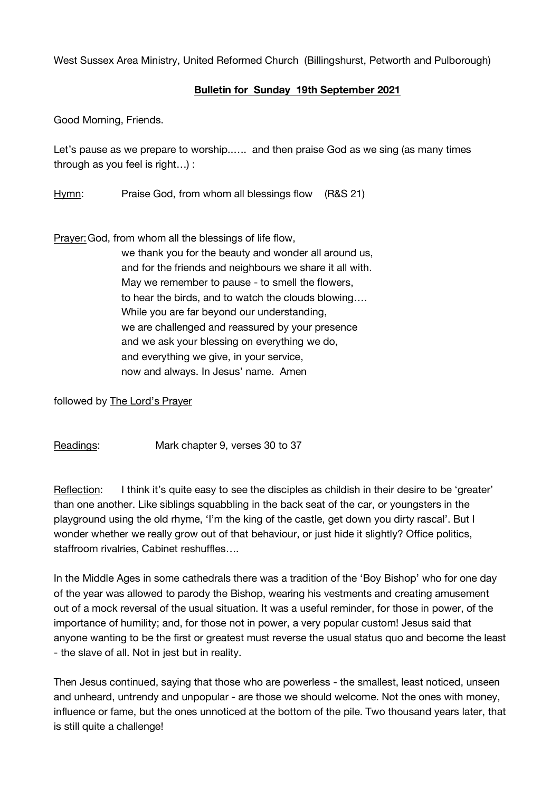West Sussex Area Ministry, United Reformed Church (Billingshurst, Petworth and Pulborough)

## **Bulletin for Sunday 19th September 2021**

Good Morning, Friends.

Let's pause as we prepare to worship..…. and then praise God as we sing (as many times through as you feel is right…) :

Hymn: Praise God, from whom all blessings flow (R&S 21)

Prayer:God, from whom all the blessings of life flow,

we thank you for the beauty and wonder all around us, and for the friends and neighbours we share it all with. May we remember to pause - to smell the flowers, to hear the birds, and to watch the clouds blowing…. While you are far beyond our understanding, we are challenged and reassured by your presence and we ask your blessing on everything we do, and everything we give, in your service, now and always. In Jesus' name. Amen

followed by The Lord's Prayer

Readings: Mark chapter 9, verses 30 to 37

Reflection: I think it's quite easy to see the disciples as childish in their desire to be 'greater' than one another. Like siblings squabbling in the back seat of the car, or youngsters in the playground using the old rhyme, 'I'm the king of the castle, get down you dirty rascal'. But I wonder whether we really grow out of that behaviour, or just hide it slightly? Office politics, staffroom rivalries, Cabinet reshuffles….

In the Middle Ages in some cathedrals there was a tradition of the 'Boy Bishop' who for one day of the year was allowed to parody the Bishop, wearing his vestments and creating amusement out of a mock reversal of the usual situation. It was a useful reminder, for those in power, of the importance of humility; and, for those not in power, a very popular custom! Jesus said that anyone wanting to be the first or greatest must reverse the usual status quo and become the least - the slave of all. Not in jest but in reality.

Then Jesus continued, saying that those who are powerless - the smallest, least noticed, unseen and unheard, untrendy and unpopular - are those we should welcome. Not the ones with money, influence or fame, but the ones unnoticed at the bottom of the pile. Two thousand years later, that is still quite a challenge!